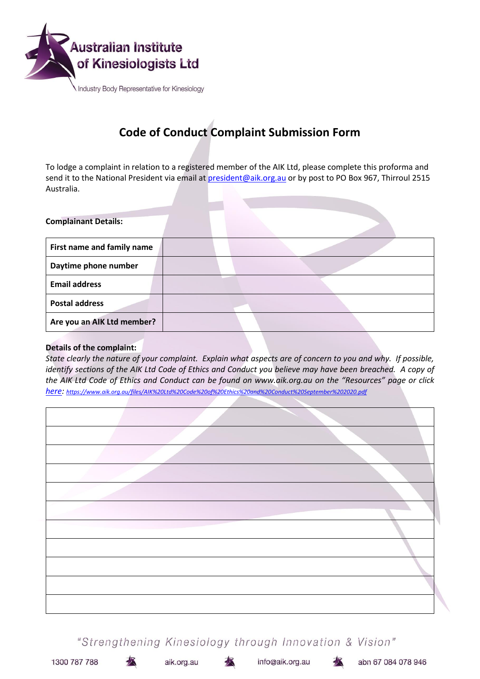

# **Code of Conduct Complaint Submission Form**

To lodge a complaint in relation to a registered member of the AIK Ltd, please complete this proforma and send it to the National President via email at **president@aik.org.au** or by post to PO Box 967, Thirroul 2515 Australia.

| <b>Complainant Details:</b> |  |
|-----------------------------|--|
| First name and family name  |  |
| Daytime phone number        |  |
| <b>Email address</b>        |  |
| <b>Postal address</b>       |  |
| Are you an AIK Ltd member?  |  |

# **Details of the complaint:**

*State clearly the nature of your complaint. Explain what aspects are of concern to you and why. If possible, identify sections of the AIK Ltd Code of Ethics and Conduct you believe may have been breached. A copy of the AIK Ltd Code of Ethics and Conduct can be found on www.aik.org.au on the "Resources" page or click [here:](https://www.aik.org.au/files/AIK%20Ltd%20Code%20of%20Ethics%20and%20Conduct%20September%202020.pdf) <https://www.aik.org.au/files/AIK%20Ltd%20Code%20of%20Ethics%20and%20Conduct%20September%202020.pdf>*

"Strengthening Kinesiology through Innovation & Vision"

1300 787 788

aik.org.au

info@aik.org.au

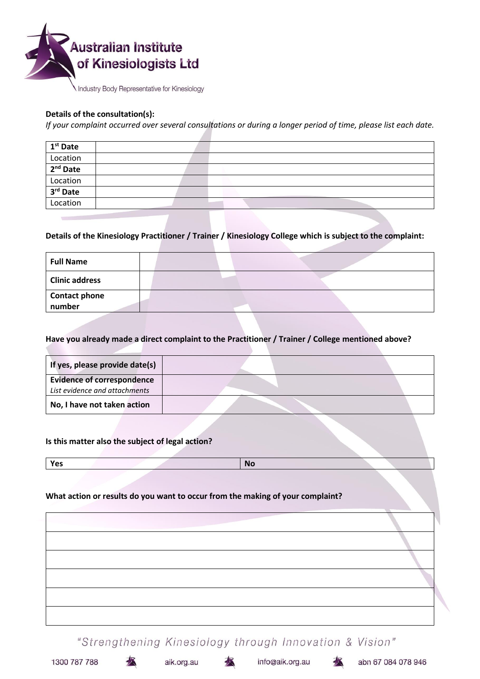

#### Industry Body Representative for Kinesiology

#### **Details of the consultation(s):**

*If your complaint occurred over several consultations or during a longer period of time, please list each date.*

| 1 <sup>st</sup> Date |  |  |  |
|----------------------|--|--|--|
| Location             |  |  |  |
| $2nd$ Date           |  |  |  |
| Location             |  |  |  |
| 3rd Date             |  |  |  |
| Location             |  |  |  |

### **Details of the Kinesiology Practitioner / Trainer / Kinesiology College which is subject to the complaint:**

| <b>Full Name</b>               |  |
|--------------------------------|--|
| <b>Clinic address</b>          |  |
| <b>Contact phone</b><br>number |  |

#### **Have you already made a direct complaint to the Practitioner / Trainer / College mentioned above?**

| If yes, please provide date(s)    |  |
|-----------------------------------|--|
| <b>Evidence of correspondence</b> |  |
| List evidence and attachments     |  |
| No, I have not taken action       |  |

#### **Is this matter also the subject of legal action?**

**Yes No**

#### **What action or results do you want to occur from the making of your complaint?**

"Strengthening Kinesiology through Innovation & Vision"

aik.org.au

info@aik.org.au